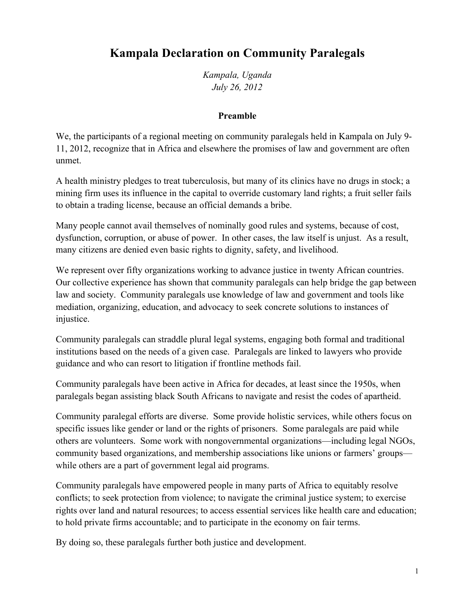## **Kampala Declaration on Community Paralegals**

*Kampala, Uganda July 26, 2012*

## **Preamble**

We, the participants of a regional meeting on community paralegals held in Kampala on July 9- 11, 2012, recognize that in Africa and elsewhere the promises of law and government are often unmet.

A health ministry pledges to treat tuberculosis, but many of its clinics have no drugs in stock; a mining firm uses its influence in the capital to override customary land rights; a fruit seller fails to obtain a trading license, because an official demands a bribe.

Many people cannot avail themselves of nominally good rules and systems, because of cost, dysfunction, corruption, or abuse of power. In other cases, the law itself is unjust. As a result, many citizens are denied even basic rights to dignity, safety, and livelihood.

We represent over fifty organizations working to advance justice in twenty African countries. Our collective experience has shown that community paralegals can help bridge the gap between law and society. Community paralegals use knowledge of law and government and tools like mediation, organizing, education, and advocacy to seek concrete solutions to instances of injustice.

Community paralegals can straddle plural legal systems, engaging both formal and traditional institutions based on the needs of a given case. Paralegals are linked to lawyers who provide guidance and who can resort to litigation if frontline methods fail.

Community paralegals have been active in Africa for decades, at least since the 1950s, when paralegals began assisting black South Africans to navigate and resist the codes of apartheid.

Community paralegal efforts are diverse. Some provide holistic services, while others focus on specific issues like gender or land or the rights of prisoners. Some paralegals are paid while others are volunteers. Some work with nongovernmental organizations—including legal NGOs, community based organizations, and membership associations like unions or farmers' groups while others are a part of government legal aid programs.

Community paralegals have empowered people in many parts of Africa to equitably resolve conflicts; to seek protection from violence; to navigate the criminal justice system; to exercise rights over land and natural resources; to access essential services like health care and education; to hold private firms accountable; and to participate in the economy on fair terms.

By doing so, these paralegals further both justice and development.